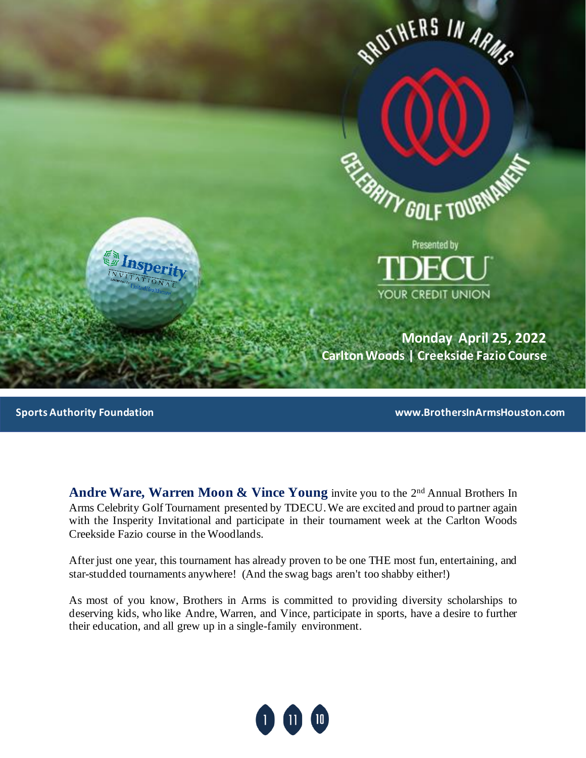

**Sports Authority Foundation www.BrothersInArmsHouston.com**

Andre Ware, Warren Moon & Vince Young invite you to the 2<sup>nd</sup> Annual Brothers In Arms Celebrity Golf Tournament presented by TDECU. We are excited and proud to partner again with the Insperity Invitational and participate in their tournament week at the Carlton Woods Creekside Fazio course in the Woodlands.

After just one year, this tournament has already proven to be one THE most fun, entertaining, and star-studded tournaments anywhere! (And the swag bags aren't too shabby either!)

As most of you know, Brothers in Arms is committed to providing diversity scholarships to deserving kids, who like Andre, Warren, and Vince, participate in sports, have a desire to further their education, and all grew up in a single-family environment.

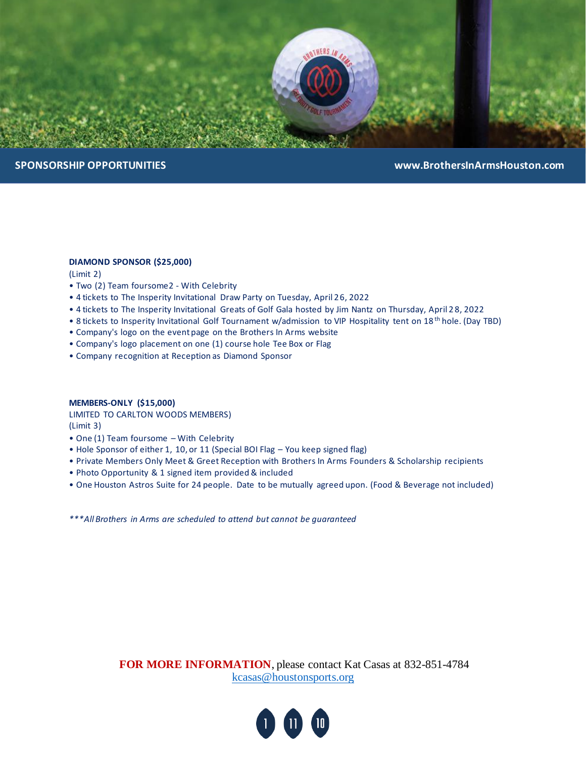

## **DIAMOND SPONSOR (\$25,000)**

(Limit 2)

- Two (2) Team foursome2 With Celebrity
- 4 tickets to The Insperity Invitational Draw Party on Tuesday, April 26, 2022
- 4 tickets to The Insperity Invitational Greats of Golf Gala hosted by Jim Nantz on Thursday, April 2 8, 2022
- 8 tickets to Insperity Invitational Golf Tournament w/admission to VIP Hospitality tent on 18 th hole. (Day TBD)
- Company's logo on the event page on the Brothers In Arms website
- Company's logo placement on one (1) course hole Tee Box or Flag
- Company recognition at Reception as Diamond Sponsor

### **MEMBERS-ONLY (\$15,000)**

LIMITED TO CARLTON WOODS MEMBERS) (Limit 3)

- One (1) Team foursome With Celebrity
- Hole Sponsor of either 1, 10, or 11 (Special BOI Flag You keep signed flag)
- Private Members Only Meet & Greet Reception with Brothers In Arms Founders & Scholarship recipients
- Photo Opportunity & 1 signed item provided & included
- One Houston Astros Suite for 24 people. Date to be mutually agreed upon. (Food & Beverage not included)

*\*\*\*All Brothers in Arms are scheduled to attend but cannot be guaranteed*

**FOR MORE INFORMATION**, please contact Kat Casas at 832-851-4784 [kcasas@houstonsports.org](mailto:kcasas@houstonsports.org)

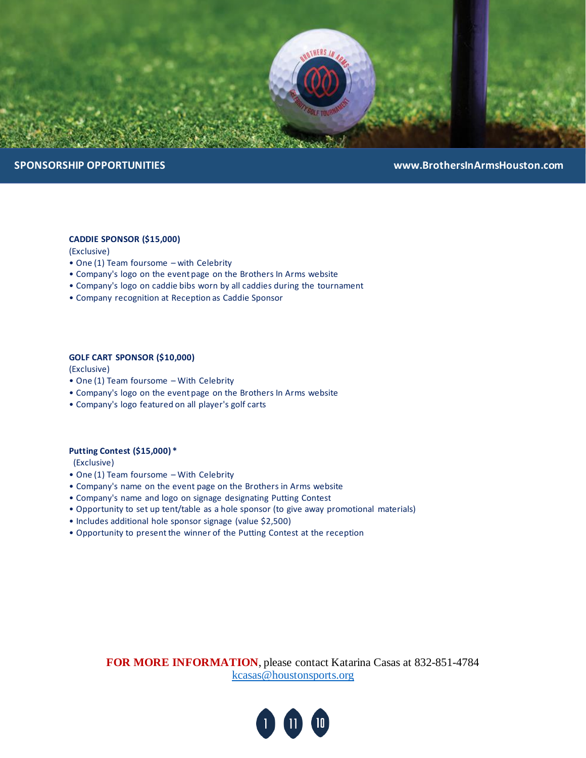

## **CADDIE SPONSOR (\$15,000)**

(Exclusive)

- One (1) Team foursome with Celebrity
- Company's logo on the event page on the Brothers In Arms website
- Company's logo on caddie bibs worn by all caddies during the tournament
- Company recognition at Reception as Caddie Sponsor

## **GOLF CART SPONSOR (\$10,000)**

(Exclusive)

- One (1) Team foursome With Celebrity
- Company's logo on the event page on the Brothers In Arms website
- Company's logo featured on all player's golf carts

### **Putting Contest (\$15,000) \***

(Exclusive)

- One (1) Team foursome With Celebrity
- Company's name on the event page on the Brothers in Arms website
- Company's name and logo on signage designating Putting Contest
- Opportunity to set up tent/table as a hole sponsor (to give away promotional materials)
- Includes additional hole sponsor signage (value \$2,500)
- Opportunity to present the winner of the Putting Contest at the reception

**FOR MORE INFORMATION**, please contact Katarina Casas at 832-851-4784 [kcasas@houstonsports.org](mailto:kcasas@houstonsports.org)

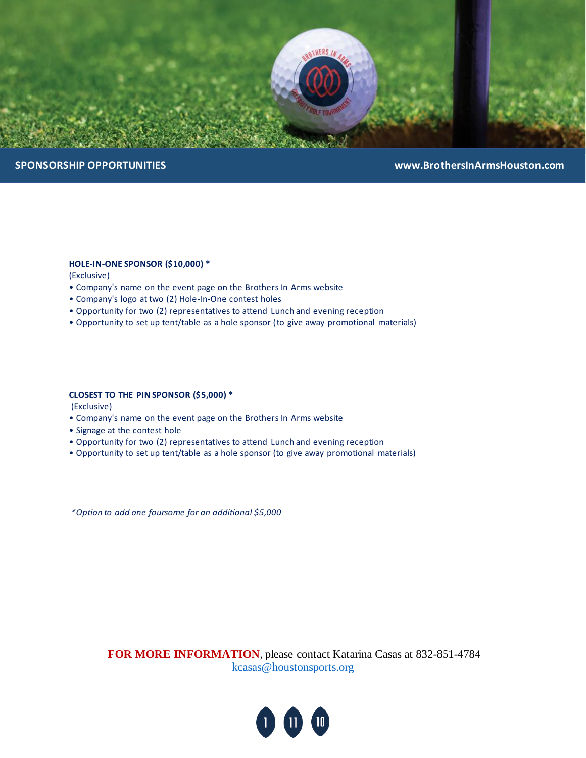

## **HOLE-IN-ONE SPONSOR (\$10,000) \***

(Exclusive)

- Company's name on the event page on the Brothers In Arms website
- Company's logo at two (2) Hole-In-One contest holes
- Opportunity for two (2) representatives to attend Lunch and evening reception
- Opportunity to set up tent/table as a hole sponsor (to give away promotional materials)

### **CLOSEST TO THE PIN SPONSOR (\$5,000) \***

(Exclusive)

- Company's name on the event page on the Brothers In Arms website
- Signage at the contest hole
- Opportunity for two (2) representatives to attend Lunch and evening reception
- Opportunity to set up tent/table as a hole sponsor (to give away promotional materials)

*\*Option to add one foursome for an additional \$5,000*

**FOR MORE INFORMATION**, please contact Katarina Casas at 832-851-4784 [kcasas@houstonsports.org](mailto:kcasas@houstonsports.org)